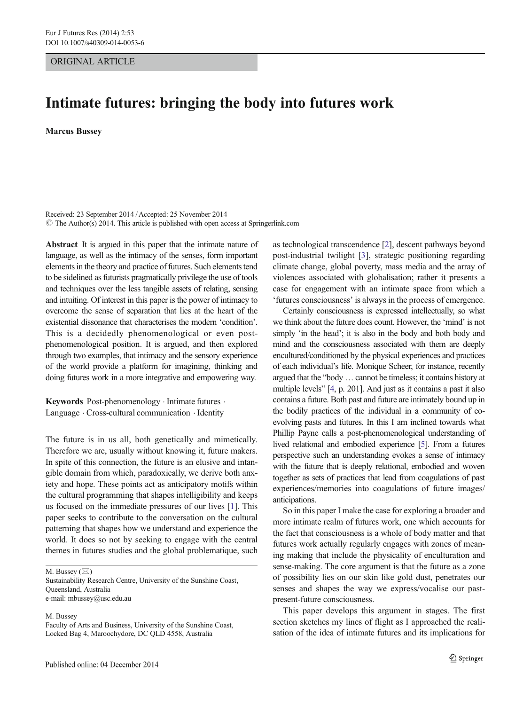## ORIGINAL ARTICLE

# Intimate futures: bringing the body into futures work

Marcus Bussey

Received: 23 September 2014 /Accepted: 25 November 2014 © The Author(s) 2014. This article is published with open access at Springerlink.com

Abstract It is argued in this paper that the intimate nature of language, as well as the intimacy of the senses, form important elements in the theory and practice of futures. Such elements tend to be sidelined as futurists pragmatically privilege the use of tools and techniques over the less tangible assets of relating, sensing and intuiting. Of interest in this paper is the power of intimacy to overcome the sense of separation that lies at the heart of the existential dissonance that characterises the modern 'condition'. This is a decidedly phenomenological or even postphenomenological position. It is argued, and then explored through two examples, that intimacy and the sensory experience of the world provide a platform for imagining, thinking and doing futures work in a more integrative and empowering way.

Keywords Post-phenomenology . Intimate futures . Language . Cross-cultural communication . Identity

The future is in us all, both genetically and mimetically. Therefore we are, usually without knowing it, future makers. In spite of this connection, the future is an elusive and intangible domain from which, paradoxically, we derive both anxiety and hope. These points act as anticipatory motifs within the cultural programming that shapes intelligibility and keeps us focused on the immediate pressures of our lives [\[1](#page-6-0)]. This paper seeks to contribute to the conversation on the cultural patterning that shapes how we understand and experience the world. It does so not by seeking to engage with the central themes in futures studies and the global problematique, such

M. Bussey

as technological transcendence [[2\]](#page-6-0), descent pathways beyond post-industrial twilight [\[3](#page-6-0)], strategic positioning regarding climate change, global poverty, mass media and the array of violences associated with globalisation; rather it presents a case for engagement with an intimate space from which a 'futures consciousness' is always in the process of emergence.

Certainly consciousness is expressed intellectually, so what we think about the future does count. However, the 'mind' is not simply 'in the head'; it is also in the body and both body and mind and the consciousness associated with them are deeply encultured/conditioned by the physical experiences and practices of each individual's life. Monique Scheer, for instance, recently argued that the "body … cannot be timeless; it contains history at multiple levels" [\[4,](#page-6-0) p. 201]. And just as it contains a past it also contains a future. Both past and future are intimately bound up in the bodily practices of the individual in a community of coevolving pasts and futures. In this I am inclined towards what Phillip Payne calls a post-phenomenological understanding of lived relational and embodied experience [\[5\]](#page-7-0). From a futures perspective such an understanding evokes a sense of intimacy with the future that is deeply relational, embodied and woven together as sets of practices that lead from coagulations of past experiences/memories into coagulations of future images/ anticipations.

So in this paper I make the case for exploring a broader and more intimate realm of futures work, one which accounts for the fact that consciousness is a whole of body matter and that futures work actually regularly engages with zones of meaning making that include the physicality of enculturation and sense-making. The core argument is that the future as a zone of possibility lies on our skin like gold dust, penetrates our senses and shapes the way we express/vocalise our pastpresent-future consciousness.

This paper develops this argument in stages. The first section sketches my lines of flight as I approached the realisation of the idea of intimate futures and its implications for

M. Bussey  $(\boxtimes)$ 

Sustainability Research Centre, University of the Sunshine Coast, Queensland, Australia e-mail: mbussey@usc.edu.au

Faculty of Arts and Business, University of the Sunshine Coast, Locked Bag 4, Maroochydore, DC QLD 4558, Australia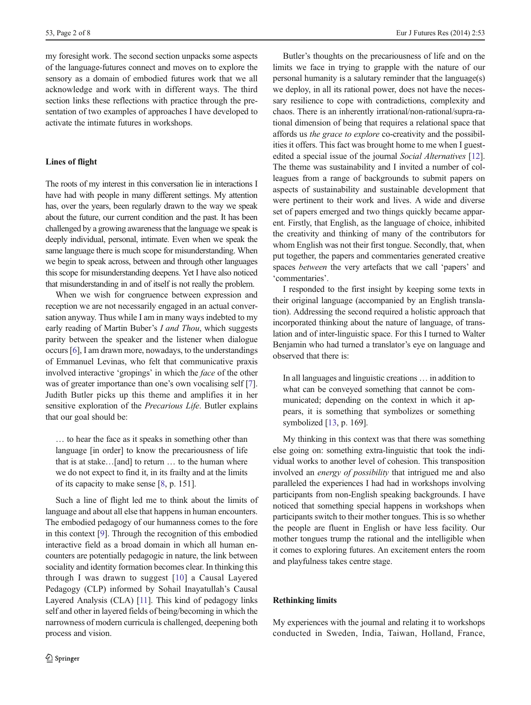my foresight work. The second section unpacks some aspects of the language-futures connect and moves on to explore the sensory as a domain of embodied futures work that we all acknowledge and work with in different ways. The third section links these reflections with practice through the presentation of two examples of approaches I have developed to activate the intimate futures in workshops.

## Lines of flight

The roots of my interest in this conversation lie in interactions I have had with people in many different settings. My attention has, over the years, been regularly drawn to the way we speak about the future, our current condition and the past. It has been challenged by a growing awareness that the language we speak is deeply individual, personal, intimate. Even when we speak the same language there is much scope for misunderstanding. When we begin to speak across, between and through other languages this scope for misunderstanding deepens. Yet I have also noticed that misunderstanding in and of itself is not really the problem.

When we wish for congruence between expression and reception we are not necessarily engaged in an actual conversation anyway. Thus while I am in many ways indebted to my early reading of Martin Buber's I and Thou, which suggests parity between the speaker and the listener when dialogue occurs [\[6](#page-7-0)], I am drawn more, nowadays, to the understandings of Emmanuel Levinas, who felt that communicative praxis involved interactive 'gropings' in which the face of the other was of greater importance than one's own vocalising self [[7\]](#page-7-0). Judith Butler picks up this theme and amplifies it in her sensitive exploration of the *Precarious Life*. Butler explains that our goal should be:

… to hear the face as it speaks in something other than language [in order] to know the precariousness of life that is at stake…[and] to return … to the human where we do not expect to find it, in its frailty and at the limits of its capacity to make sense [\[8,](#page-7-0) p. 151].

Such a line of flight led me to think about the limits of language and about all else that happens in human encounters. The embodied pedagogy of our humanness comes to the fore in this context [\[9](#page-7-0)]. Through the recognition of this embodied interactive field as a broad domain in which all human encounters are potentially pedagogic in nature, the link between sociality and identity formation becomes clear. In thinking this through I was drawn to suggest [[10\]](#page-7-0) a Causal Layered Pedagogy (CLP) informed by Sohail Inayatullah's Causal Layered Analysis (CLA) [\[11\]](#page-7-0). This kind of pedagogy links self and other in layered fields of being/becoming in which the narrowness of modern curricula is challenged, deepening both process and vision.

Butler's thoughts on the precariousness of life and on the limits we face in trying to grapple with the nature of our personal humanity is a salutary reminder that the language(s) we deploy, in all its rational power, does not have the necessary resilience to cope with contradictions, complexity and chaos. There is an inherently irrational/non-rational/supra-rational dimension of being that requires a relational space that affords us the grace to explore co-creativity and the possibilities it offers. This fact was brought home to me when I guestedited a special issue of the journal Social Alternatives [[12\]](#page-7-0). The theme was sustainability and I invited a number of colleagues from a range of backgrounds to submit papers on aspects of sustainability and sustainable development that were pertinent to their work and lives. A wide and diverse set of papers emerged and two things quickly became apparent. Firstly, that English, as the language of choice, inhibited the creativity and thinking of many of the contributors for whom English was not their first tongue. Secondly, that, when put together, the papers and commentaries generated creative spaces between the very artefacts that we call 'papers' and 'commentaries'.

I responded to the first insight by keeping some texts in their original language (accompanied by an English translation). Addressing the second required a holistic approach that incorporated thinking about the nature of language, of translation and of inter-linguistic space. For this I turned to Walter Benjamin who had turned a translator's eye on language and observed that there is:

In all languages and linguistic creations … in addition to what can be conveyed something that cannot be communicated; depending on the context in which it appears, it is something that symbolizes or something symbolized [\[13,](#page-7-0) p. 169].

My thinking in this context was that there was something else going on: something extra-linguistic that took the individual works to another level of cohesion. This transposition involved an energy of possibility that intrigued me and also paralleled the experiences I had had in workshops involving participants from non-English speaking backgrounds. I have noticed that something special happens in workshops when participants switch to their mother tongues. This is so whether the people are fluent in English or have less facility. Our mother tongues trump the rational and the intelligible when it comes to exploring futures. An excitement enters the room and playfulness takes centre stage.

## Rethinking limits

My experiences with the journal and relating it to workshops conducted in Sweden, India, Taiwan, Holland, France,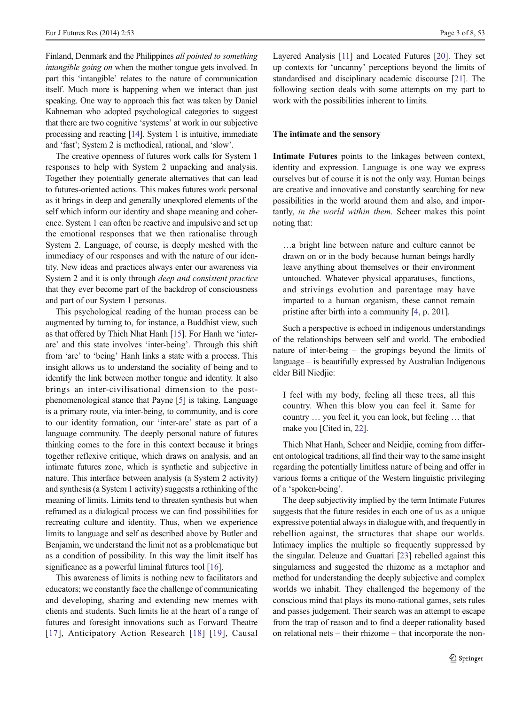Finland, Denmark and the Philippines all pointed to something intangible going on when the mother tongue gets involved. In part this 'intangible' relates to the nature of communication itself. Much more is happening when we interact than just speaking. One way to approach this fact was taken by Daniel Kahneman who adopted psychological categories to suggest that there are two cognitive 'systems' at work in our subjective processing and reacting [\[14\]](#page-7-0). System 1 is intuitive, immediate and 'fast'; System 2 is methodical, rational, and 'slow'.

The creative openness of futures work calls for System 1 responses to help with System 2 unpacking and analysis. Together they potentially generate alternatives that can lead to futures-oriented actions. This makes futures work personal as it brings in deep and generally unexplored elements of the self which inform our identity and shape meaning and coherence. System 1 can often be reactive and impulsive and set up the emotional responses that we then rationalise through System 2. Language, of course, is deeply meshed with the immediacy of our responses and with the nature of our identity. New ideas and practices always enter our awareness via System 2 and it is only through deep and consistent practice that they ever become part of the backdrop of consciousness and part of our System 1 personas.

This psychological reading of the human process can be augmented by turning to, for instance, a Buddhist view, such as that offered by Thich Nhat Hanh [\[15\]](#page-7-0). For Hanh we 'interare' and this state involves 'inter-being'. Through this shift from 'are' to 'being' Hanh links a state with a process. This insight allows us to understand the sociality of being and to identify the link between mother tongue and identity. It also brings an inter-civilisational dimension to the postphenomenological stance that Payne [\[5](#page-7-0)] is taking. Language is a primary route, via inter-being, to community, and is core to our identity formation, our 'inter-are' state as part of a language community. The deeply personal nature of futures thinking comes to the fore in this context because it brings together reflexive critique, which draws on analysis, and an intimate futures zone, which is synthetic and subjective in nature. This interface between analysis (a System 2 activity) and synthesis (a System 1 activity) suggests a rethinking of the meaning of limits. Limits tend to threaten synthesis but when reframed as a dialogical process we can find possibilities for recreating culture and identity. Thus, when we experience limits to language and self as described above by Butler and Benjamin, we understand the limit not as a problematique but as a condition of possibility. In this way the limit itself has significance as a powerful liminal futures tool [\[16](#page-7-0)].

This awareness of limits is nothing new to facilitators and educators; we constantly face the challenge of communicating and developing, sharing and extending new memes with clients and students. Such limits lie at the heart of a range of futures and foresight innovations such as Forward Theatre [[17](#page-7-0)], Anticipatory Action Research [[18\]](#page-7-0) [[19](#page-7-0)], Causal

Layered Analysis [\[11\]](#page-7-0) and Located Futures [[20\]](#page-7-0). They set up contexts for 'uncanny' perceptions beyond the limits of standardised and disciplinary academic discourse [[21\]](#page-7-0). The following section deals with some attempts on my part to work with the possibilities inherent to limits.

#### The intimate and the sensory

Intimate Futures points to the linkages between context, identity and expression. Language is one way we express ourselves but of course it is not the only way. Human beings are creative and innovative and constantly searching for new possibilities in the world around them and also, and importantly, in the world within them. Scheer makes this point noting that:

…a bright line between nature and culture cannot be drawn on or in the body because human beings hardly leave anything about themselves or their environment untouched. Whatever physical apparatuses, functions, and strivings evolution and parentage may have imparted to a human organism, these cannot remain pristine after birth into a community [\[4](#page-6-0), p. 201].

Such a perspective is echoed in indigenous understandings of the relationships between self and world. The embodied nature of inter-being – the gropings beyond the limits of language – is beautifully expressed by Australian Indigenous elder Bill Niedjie:

I feel with my body, feeling all these trees, all this country. When this blow you can feel it. Same for country … you feel it, you can look, but feeling … that make you [Cited in, [22\]](#page-7-0).

Thich Nhat Hanh, Scheer and Neidjie, coming from different ontological traditions, all find their way to the same insight regarding the potentially limitless nature of being and offer in various forms a critique of the Western linguistic privileging of a 'spoken-being'.

The deep subjectivity implied by the term Intimate Futures suggests that the future resides in each one of us as a unique expressive potential always in dialogue with, and frequently in rebellion against, the structures that shape our worlds. Intimacy implies the multiple so frequently suppressed by the singular. Deleuze and Guattari [[23](#page-7-0)] rebelled against this singularness and suggested the rhizome as a metaphor and method for understanding the deeply subjective and complex worlds we inhabit. They challenged the hegemony of the conscious mind that plays its mono-rational games, sets rules and passes judgement. Their search was an attempt to escape from the trap of reason and to find a deeper rationality based on relational nets – their rhizome – that incorporate the non-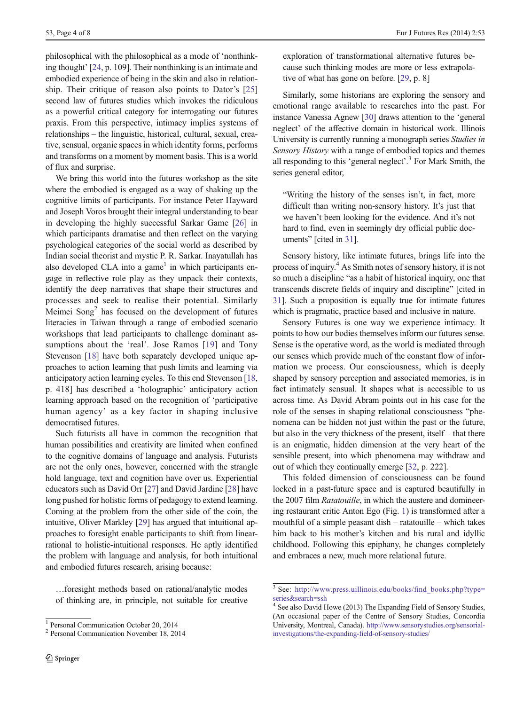philosophical with the philosophical as a mode of 'nonthinking thought' [[24](#page-7-0), p. 109]. Their nonthinking is an intimate and embodied experience of being in the skin and also in relationship. Their critique of reason also points to Dator's [[25\]](#page-7-0) second law of futures studies which invokes the ridiculous as a powerful critical category for interrogating our futures praxis. From this perspective, intimacy implies systems of relationships – the linguistic, historical, cultural, sexual, creative, sensual, organic spaces in which identity forms, performs and transforms on a moment by moment basis. This is a world of flux and surprise.

We bring this world into the futures workshop as the site where the embodied is engaged as a way of shaking up the cognitive limits of participants. For instance Peter Hayward and Joseph Voros brought their integral understanding to bear in developing the highly successful Sarkar Game [[26\]](#page-7-0) in which participants dramatise and then reflect on the varying psychological categories of the social world as described by Indian social theorist and mystic P. R. Sarkar. Inayatullah has also developed CLA into a game<sup>1</sup> in which participants engage in reflective role play as they unpack their contexts, identify the deep narratives that shape their structures and processes and seek to realise their potential. Similarly Meimei  $\text{Song}^2$  has focused on the development of futures literacies in Taiwan through a range of embodied scenario workshops that lead participants to challenge dominant assumptions about the 'real'. Jose Ramos [[19\]](#page-7-0) and Tony Stevenson [\[18\]](#page-7-0) have both separately developed unique approaches to action learning that push limits and learning via anticipatory action learning cycles. To this end Stevenson [[18,](#page-7-0) p. 418] has described a 'holographic' anticipatory action learning approach based on the recognition of 'participative human agency' as a key factor in shaping inclusive democratised futures.

Such futurists all have in common the recognition that human possibilities and creativity are limited when confined to the cognitive domains of language and analysis. Futurists are not the only ones, however, concerned with the strangle hold language, text and cognition have over us. Experiential educators such as David Orr [\[27\]](#page-7-0) and David Jardine [[28](#page-7-0)] have long pushed for holistic forms of pedagogy to extend learning. Coming at the problem from the other side of the coin, the intuitive, Oliver Markley [\[29](#page-7-0)] has argued that intuitional approaches to foresight enable participants to shift from linearrational to holistic-intuitional responses. He aptly identified the problem with language and analysis, for both intuitional and embodied futures research, arising because:

…foresight methods based on rational/analytic modes of thinking are, in principle, not suitable for creative

exploration of transformational alternative futures because such thinking modes are more or less extrapolative of what has gone on before. [\[29](#page-7-0), p. 8]

Similarly, some historians are exploring the sensory and emotional range available to researches into the past. For instance Vanessa Agnew [\[30\]](#page-7-0) draws attention to the 'general neglect' of the affective domain in historical work. Illinois University is currently running a monograph series Studies in Sensory History with a range of embodied topics and themes all responding to this 'general neglect'. <sup>3</sup> For Mark Smith, the series general editor,

"Writing the history of the senses isn't, in fact, more difficult than writing non-sensory history. It's just that we haven't been looking for the evidence. And it's not hard to find, even in seemingly dry official public documents" [cited in [31\]](#page-7-0).

Sensory history, like intimate futures, brings life into the process of inquiry.4 As Smith notes of sensory history, it is not so much a discipline "as a habit of historical inquiry, one that transcends discrete fields of inquiry and discipline" [cited in [31\]](#page-7-0). Such a proposition is equally true for intimate futures which is pragmatic, practice based and inclusive in nature.

Sensory Futures is one way we experience intimacy. It points to how our bodies themselves inform our futures sense. Sense is the operative word, as the world is mediated through our senses which provide much of the constant flow of information we process. Our consciousness, which is deeply shaped by sensory perception and associated memories, is in fact intimately sensual. It shapes what is accessible to us across time. As David Abram points out in his case for the role of the senses in shaping relational consciousness "phenomena can be hidden not just within the past or the future, but also in the very thickness of the present, itself – that there is an enigmatic, hidden dimension at the very heart of the sensible present, into which phenomena may withdraw and out of which they continually emerge [[32,](#page-7-0) p. 222].

This folded dimension of consciousness can be found locked in a past-future space and is captured beautifully in the 2007 film Ratatouille, in which the austere and domineering restaurant critic Anton Ego (Fig. [1\)](#page-4-0) is transformed after a mouthful of a simple peasant dish – ratatouille – which takes him back to his mother's kitchen and his rural and idyllic childhood. Following this epiphany, he changes completely and embraces a new, much more relational future.

<sup>&</sup>lt;sup>1</sup> Personal Communication October 20, 2014

<sup>2</sup> Personal Communication November 18, 2014

<sup>3</sup> See: [http://www.press.uillinois.edu/books/find\\_books.php?type=](http://www.press.uillinois.edu/books/find_books.php?type=series&search=ssh) [series&search=ssh](http://www.press.uillinois.edu/books/find_books.php?type=series&search=ssh)

<sup>4</sup> See also David Howe (2013) The Expanding Field of Sensory Studies, (An occasional paper of the Centre of Sensory Studies, Concordia University, Montreal, Canada). [http://www.sensorystudies.org/sensorial](http://www.sensorystudies.org/sensorial-investigations/the-expanding-field-of-sensory-studies/)[investigations/the-expanding-field-of-sensory-studies/](http://www.sensorystudies.org/sensorial-investigations/the-expanding-field-of-sensory-studies/)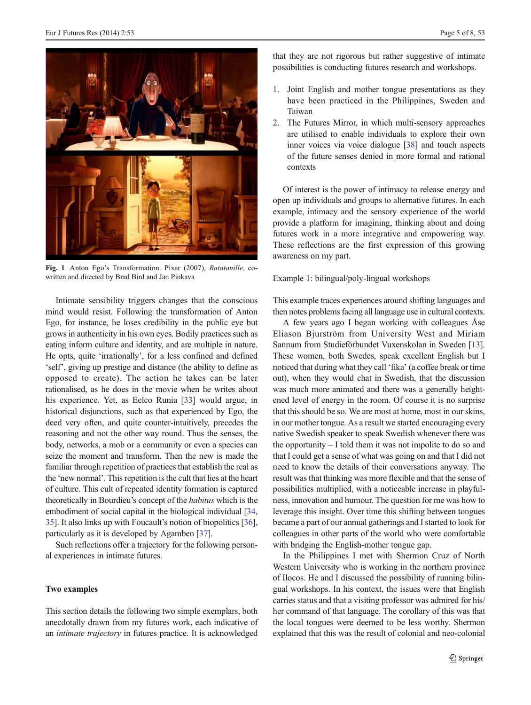<span id="page-4-0"></span>

Fig. 1 Anton Ego's Transformation. Pixar (2007), Ratatouille, cowritten and directed by Brad Bird and Jan Pinkava

Intimate sensibility triggers changes that the conscious mind would resist. Following the transformation of Anton Ego, for instance, he loses credibility in the public eye but grows in authenticity in his own eyes. Bodily practices such as eating inform culture and identity, and are multiple in nature. He opts, quite 'irrationally', for a less confined and defined 'self', giving up prestige and distance (the ability to define as opposed to create). The action he takes can be later rationalised, as he does in the movie when he writes about his experience. Yet, as Eelco Runia [\[33](#page-7-0)] would argue, in historical disjunctions, such as that experienced by Ego, the deed very often, and quite counter-intuitively, precedes the reasoning and not the other way round. Thus the senses, the body, networks, a mob or a community or even a species can seize the moment and transform. Then the new is made the familiar through repetition of practices that establish the real as the 'new normal'. This repetition is the cult that lies at the heart of culture. This cult of repeated identity formation is captured theoretically in Bourdieu's concept of the habitus which is the embodiment of social capital in the biological individual [[34,](#page-7-0) [35\]](#page-7-0). It also links up with Foucault's notion of biopolitics [[36\]](#page-7-0), particularly as it is developed by Agamben [\[37](#page-7-0)].

Such reflections offer a trajectory for the following personal experiences in intimate futures.

## Two examples

This section details the following two simple exemplars, both anecdotally drawn from my futures work, each indicative of an intimate trajectory in futures practice. It is acknowledged

that they are not rigorous but rather suggestive of intimate possibilities is conducting futures research and workshops.

- 1. Joint English and mother tongue presentations as they have been practiced in the Philippines, Sweden and Taiwan
- 2. The Futures Mirror, in which multi-sensory approaches are utilised to enable individuals to explore their own inner voices via voice dialogue [[38\]](#page-7-0) and touch aspects of the future senses denied in more formal and rational contexts

Of interest is the power of intimacy to release energy and open up individuals and groups to alternative futures. In each example, intimacy and the sensory experience of the world provide a platform for imagining, thinking about and doing futures work in a more integrative and empowering way. These reflections are the first expression of this growing awareness on my part.

#### Example 1: bilingual/poly-lingual workshops

This example traces experiences around shifting languages and then notes problems facing all language use in cultural contexts.

A few years ago I began working with colleagues Åse Eliason Bjurström from University West and Miriam Sannum from Studieförbundet Vuxenskolan in Sweden [[13\]](#page-7-0). These women, both Swedes, speak excellent English but I noticed that during what they call 'fika' (a coffee break or time out), when they would chat in Swedish, that the discussion was much more animated and there was a generally heightened level of energy in the room. Of course it is no surprise that this should be so. We are most at home, most in our skins, in our mother tongue. As a result we started encouraging every native Swedish speaker to speak Swedish whenever there was the opportunity – I told them it was not impolite to do so and that I could get a sense of what was going on and that I did not need to know the details of their conversations anyway. The result was that thinking was more flexible and that the sense of possibilities multiplied, with a noticeable increase in playfulness, innovation and humour. The question for me was how to leverage this insight. Over time this shifting between tongues became a part of our annual gatherings and I started to look for colleagues in other parts of the world who were comfortable with bridging the English-mother tongue gap.

In the Philippines I met with Shermon Cruz of North Western University who is working in the northern province of Ilocos. He and I discussed the possibility of running bilingual workshops. In his context, the issues were that English carries status and that a visiting professor was admired for his/ her command of that language. The corollary of this was that the local tongues were deemed to be less worthy. Shermon explained that this was the result of colonial and neo-colonial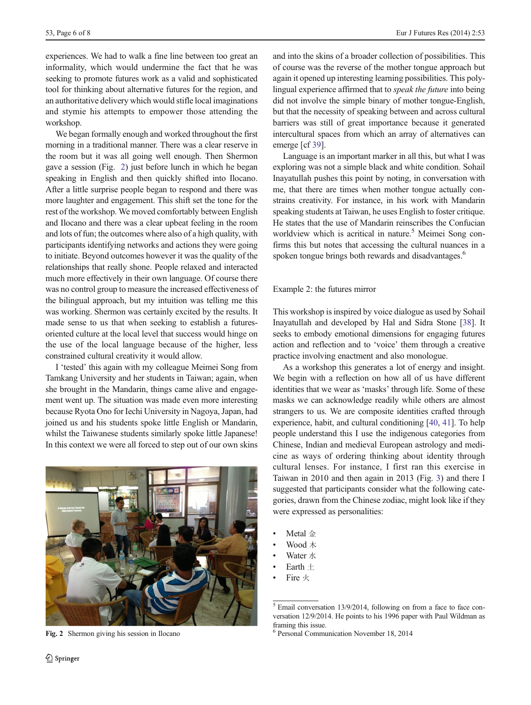experiences. We had to walk a fine line between too great an informality, which would undermine the fact that he was seeking to promote futures work as a valid and sophisticated tool for thinking about alternative futures for the region, and an authoritative delivery which would stifle local imaginations and stymie his attempts to empower those attending the workshop.

We began formally enough and worked throughout the first morning in a traditional manner. There was a clear reserve in the room but it was all going well enough. Then Shermon gave a session (Fig. 2) just before lunch in which he began speaking in English and then quickly shifted into Ilocano. After a little surprise people began to respond and there was more laughter and engagement. This shift set the tone for the rest of the workshop. We moved comfortably between English and Ilocano and there was a clear upbeat feeling in the room and lots of fun; the outcomes where also of a high quality, with participants identifying networks and actions they were going to initiate. Beyond outcomes however it was the quality of the relationships that really shone. People relaxed and interacted much more effectively in their own language. Of course there was no control group to measure the increased effectiveness of the bilingual approach, but my intuition was telling me this was working. Shermon was certainly excited by the results. It made sense to us that when seeking to establish a futuresoriented culture at the local level that success would hinge on the use of the local language because of the higher, less constrained cultural creativity it would allow.

I 'tested' this again with my colleague Meimei Song from Tamkang University and her students in Taiwan; again, when she brought in the Mandarin, things came alive and engagement went up. The situation was made even more interesting because Ryota Ono for Iechi University in Nagoya, Japan, had joined us and his students spoke little English or Mandarin, whilst the Taiwanese students similarly spoke little Japanese! In this context we were all forced to step out of our own skins



Fig. 2 Shermon giving his session in Ilocano

and into the skins of a broader collection of possibilities. This of course was the reverse of the mother tongue approach but again it opened up interesting learning possibilities. This polylingual experience affirmed that to speak the future into being did not involve the simple binary of mother tongue-English, but that the necessity of speaking between and across cultural barriers was still of great importance because it generated intercultural spaces from which an array of alternatives can emerge [cf [39](#page-7-0)].

Language is an important marker in all this, but what I was exploring was not a simple black and white condition. Sohail Inayatullah pushes this point by noting, in conversation with me, that there are times when mother tongue actually constrains creativity. For instance, in his work with Mandarin speaking students at Taiwan, he uses English to foster critique. He states that the use of Mandarin reinscribes the Confucian worldview which is acritical in nature.<sup>5</sup> Meimei Song confirms this but notes that accessing the cultural nuances in a spoken tongue brings both rewards and disadvantages.<sup>6</sup>

#### Example 2: the futures mirror

This workshop is inspired by voice dialogue as used by Sohail Inayatullah and developed by Hal and Sidra Stone [\[38\]](#page-7-0). It seeks to embody emotional dimensions for engaging futures action and reflection and to 'voice' them through a creative practice involving enactment and also monologue.

As a workshop this generates a lot of energy and insight. We begin with a reflection on how all of us have different identities that we wear as 'masks' through life. Some of these masks we can acknowledge readily while others are almost strangers to us. We are composite identities crafted through experience, habit, and cultural conditioning [\[40](#page-7-0), [41](#page-7-0)]. To help people understand this I use the indigenous categories from Chinese, Indian and medieval European astrology and medicine as ways of ordering thinking about identity through cultural lenses. For instance, I first ran this exercise in Taiwan in 2010 and then again in 2013 (Fig. [3](#page-6-0)) and there I suggested that participants consider what the following categories, drawn from the Chinese zodiac, might look like if they were expressed as personalities:

- & Metal 金
- & Wood 木
- Water 水
- Earth  $\pm$
- Fire 火

<sup>5</sup> Email conversation 13/9/2014, following on from a face to face conversation 12/9/2014. He points to his 1996 paper with Paul Wildman as framing this issue.

<sup>6</sup> Personal Communication November 18, 2014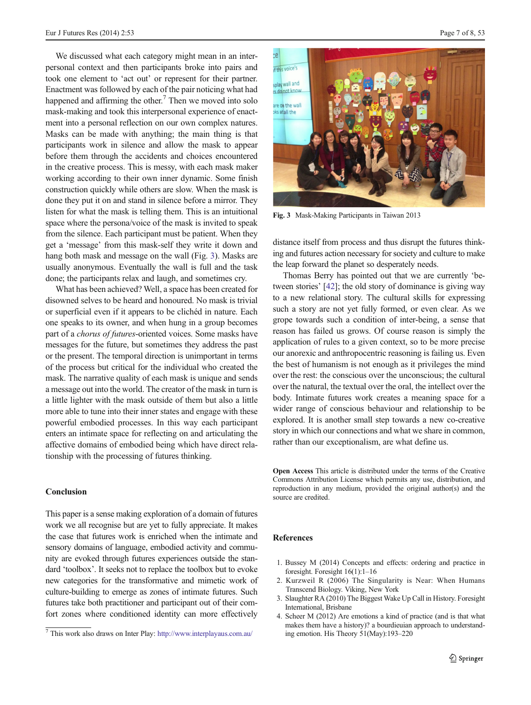<span id="page-6-0"></span>We discussed what each category might mean in an interpersonal context and then participants broke into pairs and took one element to 'act out' or represent for their partner. Enactment was followed by each of the pair noticing what had happened and affirming the other.<sup>7</sup> Then we moved into solo mask-making and took this interpersonal experience of enactment into a personal reflection on our own complex natures. Masks can be made with anything; the main thing is that participants work in silence and allow the mask to appear before them through the accidents and choices encountered in the creative process. This is messy, with each mask maker working according to their own inner dynamic. Some finish construction quickly while others are slow. When the mask is done they put it on and stand in silence before a mirror. They listen for what the mask is telling them. This is an intuitional space where the persona/voice of the mask is invited to speak from the silence. Each participant must be patient. When they get a 'message' from this mask-self they write it down and hang both mask and message on the wall (Fig. 3). Masks are usually anonymous. Eventually the wall is full and the task done; the participants relax and laugh, and sometimes cry.

What has been achieved? Well, a space has been created for disowned selves to be heard and honoured. No mask is trivial or superficial even if it appears to be clichéd in nature. Each one speaks to its owner, and when hung in a group becomes part of a chorus of futures-oriented voices. Some masks have messages for the future, but sometimes they address the past or the present. The temporal direction is unimportant in terms of the process but critical for the individual who created the mask. The narrative quality of each mask is unique and sends a message out into the world. The creator of the mask in turn is a little lighter with the mask outside of them but also a little more able to tune into their inner states and engage with these powerful embodied processes. In this way each participant enters an intimate space for reflecting on and articulating the affective domains of embodied being which have direct relationship with the processing of futures thinking.

## Conclusion

This paper is a sense making exploration of a domain of futures work we all recognise but are yet to fully appreciate. It makes the case that futures work is enriched when the intimate and sensory domains of language, embodied activity and community are evoked through futures experiences outside the standard 'toolbox'. It seeks not to replace the toolbox but to evoke new categories for the transformative and mimetic work of culture-building to emerge as zones of intimate futures. Such futures take both practitioner and participant out of their comfort zones where conditioned identity can more effectively



Fig. 3 Mask-Making Participants in Taiwan 2013

distance itself from process and thus disrupt the futures thinking and futures action necessary for society and culture to make the leap forward the planet so desperately needs.

Thomas Berry has pointed out that we are currently 'between stories' [[42\]](#page-7-0); the old story of dominance is giving way to a new relational story. The cultural skills for expressing such a story are not yet fully formed, or even clear. As we grope towards such a condition of inter-being, a sense that reason has failed us grows. Of course reason is simply the application of rules to a given context, so to be more precise our anorexic and anthropocentric reasoning is failing us. Even the best of humanism is not enough as it privileges the mind over the rest: the conscious over the unconscious; the cultural over the natural, the textual over the oral, the intellect over the body. Intimate futures work creates a meaning space for a wider range of conscious behaviour and relationship to be explored. It is another small step towards a new co-creative story in which our connections and what we share in common, rather than our exceptionalism, are what define us.

Open Access This article is distributed under the terms of the Creative Commons Attribution License which permits any use, distribution, and reproduction in any medium, provided the original author(s) and the source are credited.

#### References

- 1. Bussey M (2014) Concepts and effects: ordering and practice in foresight. Foresight 16(1):1–16
- 2. Kurzweil R (2006) The Singularity is Near: When Humans Transcend Biology. Viking, New York
- 3. Slaughter RA (2010) The Biggest Wake Up Call in History. Foresight International, Brisbane
- 4. Scheer M (2012) Are emotions a kind of practice (and is that what makes them have a history)? a bourdieuian approach to understand-

<sup>&</sup>lt;sup>7</sup> This work also draws on Inter Play: <http://www.interplayaus.com.au/> ing emotion. His Theory 51(May):193–220